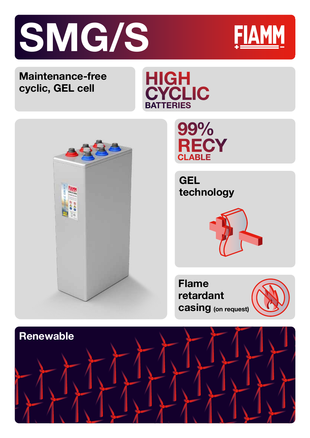



## **Maintenance-free cyclic, GEL cell**







**GEL technology**



**Flame retardant casing (on request)**



Technology